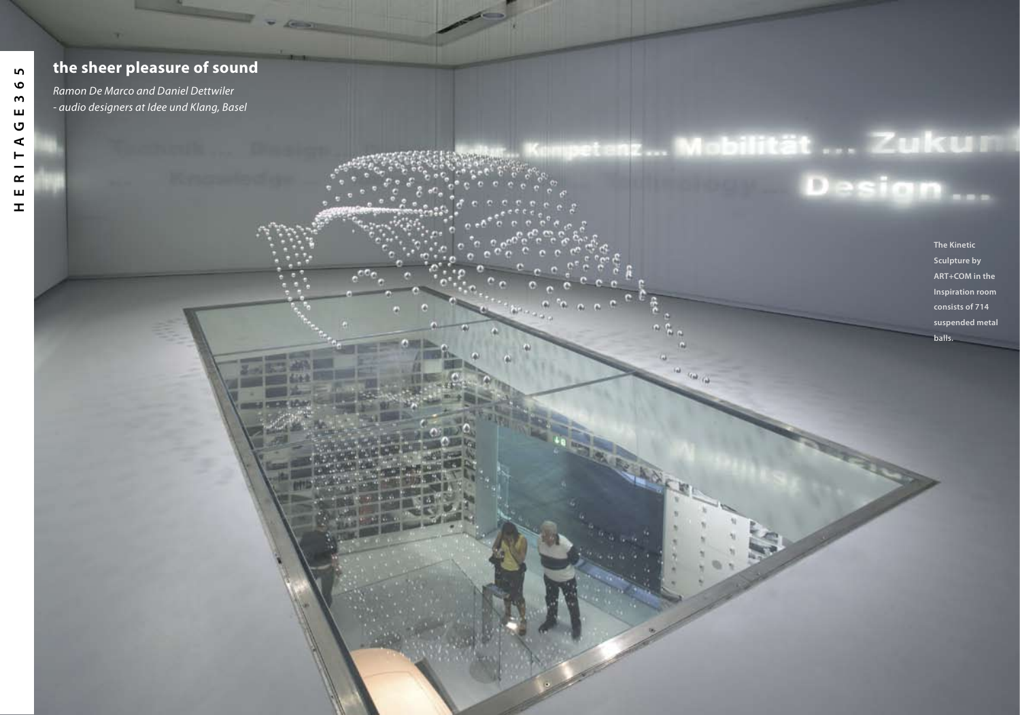## **the sheer pleasure of sound**

*Ramon De Marco and Daniel Dettwiler - audio designers at Idee und Klang, Basel*

# etenz... Mobilität ... Zukum Design...

2 HERITAGE3655 12 HERITAGE3655 12

## **The Kinetic**

**Sculpture by ART+COM in the Inspiration room consists of 714 suspended metal balls.**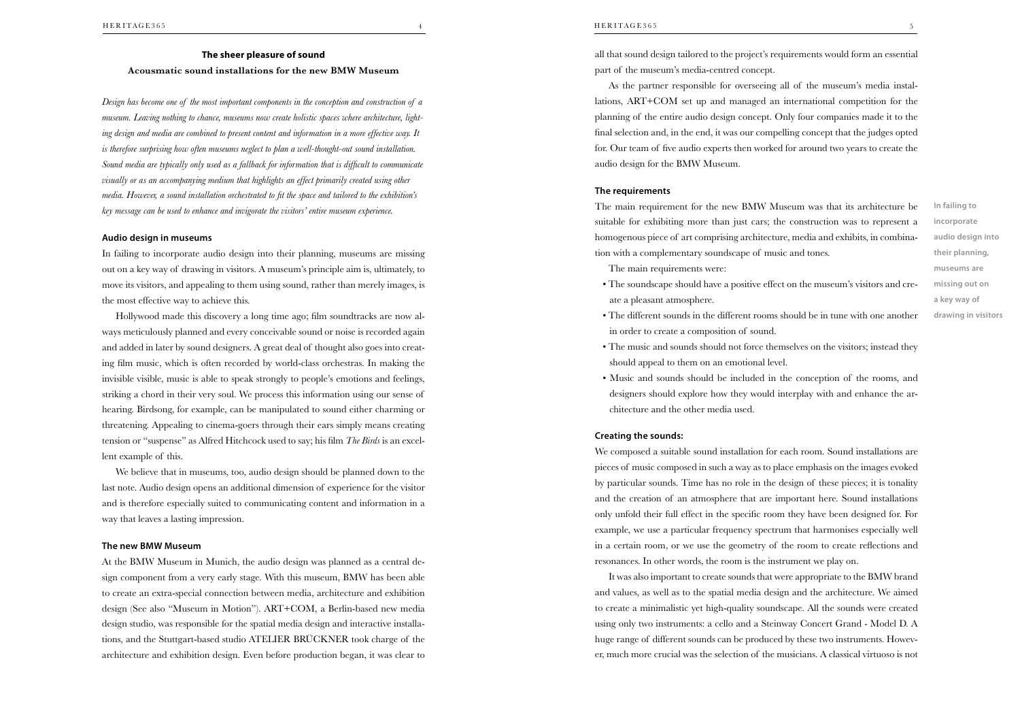## **The sheer pleasure of sound Acousmatic sound installations for the new BMW Museum**

*Design has become one of the most important components in the conception and construction of a museum. Leaving nothing to chance, museums now create holistic spaces where architecture, lighting design and media are combined to present content and information in a more effective way. It is therefore surprising how often museums neglect to plan a well-thought-out sound installation. Sound media are typically only used as a fallback for information that is difficult to communicate visually or as an accompanying medium that highlights an effect primarily created using other media. However, a sound installation orchestrated to fit the space and tailored to the exhibition's key message can be used to enhance and invigorate the visitors' entire museum experience.*

## **Audio design in museums**

In failing to incorporate audio design into their planning, museums are missing out on a key way of drawing in visitors. A museum's principle aim is, ultimately, to move its visitors, and appealing to them using sound, rather than merely images, is the most effective way to achieve this.

Hollywood made this discovery a long time ago; film soundtracks are now always meticulously planned and every conceivable sound or noise is recorded again and added in later by sound designers. A great deal of thought also goes into creating film music, which is often recorded by world-class orchestras. In making the invisible visible, music is able to speak strongly to people's emotions and feelings, striking a chord in their very soul. We process this information using our sense of hearing. Birdsong, for example, can be manipulated to sound either charming or threatening. Appealing to cinema-goers through their ears simply means creating tension or "suspense" as Alfred Hitchcock used to say; his film *The Birds* is an excellent example of this.

We believe that in museums, too, audio design should be planned down to the last note. Audio design opens an additional dimension of experience for the visitor and is therefore especially suited to communicating content and information in a way that leaves a lasting impression.

## **The new BMW Museum**

At the BMW Museum in Munich, the audio design was planned as a central design component from a very early stage. With this museum, BMW has been able to create an extra-special connection between media, architecture and exhibition design (See also "Museum in Motion"). ART+COM, a Berlin-based new media design studio, was responsible for the spatial media design and interactive installations, and the Stuttgart-based studio ATELIER BRÜCKNER took charge of the architecture and exhibition design. Even before production began, it was clear to

all that sound design tailored to the project's requirements would form an essential part of the museum's media-centred concept.

As the partner responsible for overseeing all of the museum's media installations, ART+COM set up and managed an international competition for the planning of the entire audio design concept. Only four companies made it to the final selection and, in the end, it was our compelling concept that the judges opted for. Our team of five audio experts then worked for around two years to create the audio design for the BMW Museum.

## **The requirements**

The main requirement for the new BMW Museum was that its architecture be suitable for exhibiting more than just cars; the construction was to represent a homogenous piece of art comprising architecture, media and exhibits, in combination with a complementary soundscape of music and tones.

The main requirements were:

- The soundscape should have a positive effect on the museum's visitors and create a pleasant atmosphere.
- **audio design into their planning, museums are missing out on a key way of drawing in visitors**

**In failing to incorporate** 

- The different sounds in the different rooms should be in tune with one another in order to create a composition of sound.
- The music and sounds should not force themselves on the visitors; instead they should appeal to them on an emotional level.
- Music and sounds should be included in the conception of the rooms, and designers should explore how they would interplay with and enhance the architecture and the other media used.

## **Creating the sounds:**

We composed a suitable sound installation for each room. Sound installations are pieces of music composed in such a way as to place emphasis on the images evoked by particular sounds. Time has no role in the design of these pieces; it is tonality and the creation of an atmosphere that are important here. Sound installations only unfold their full effect in the specific room they have been designed for. For example, we use a particular frequency spectrum that harmonises especially well in a certain room, or we use the geometry of the room to create reflections and resonances. In other words, the room is the instrument we play on.

It was also important to create sounds that were appropriate to the BMW brand and values, as well as to the spatial media design and the architecture. We aimed to create a minimalistic yet high-quality soundscape. All the sounds were created using only two instruments: a cello and a Steinway Concert Grand - Model D. A huge range of different sounds can be produced by these two instruments. However, much more crucial was the selection of the musicians. A classical virtuoso is not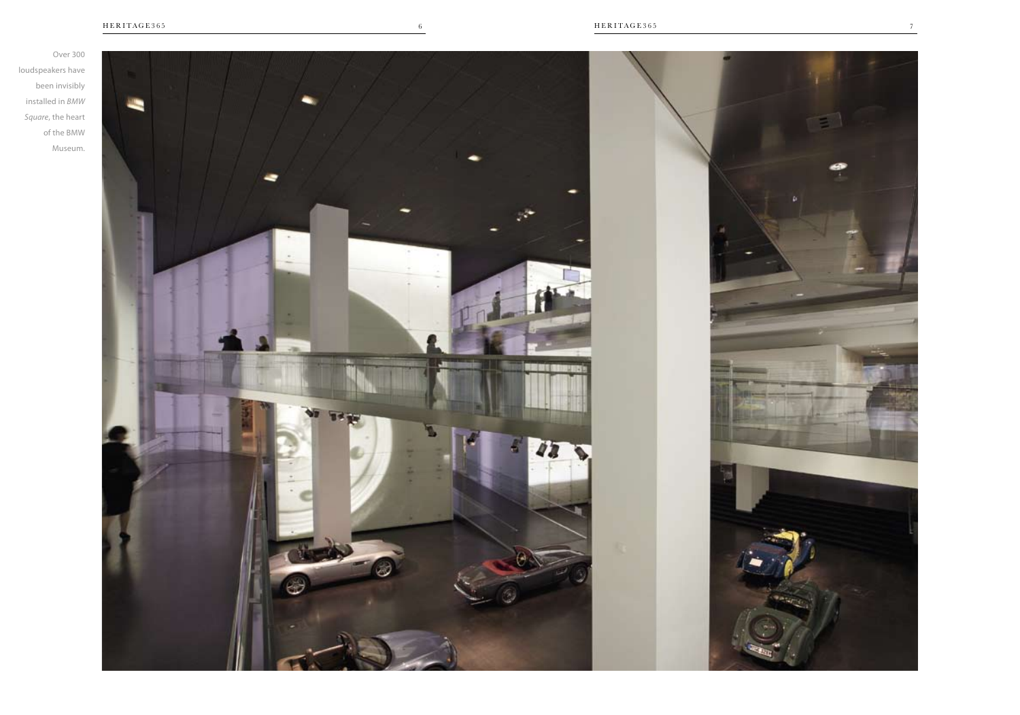Over 300 loudspeakers have been invisibly installed in *BMW Square*, the heart of the BMW Museum.

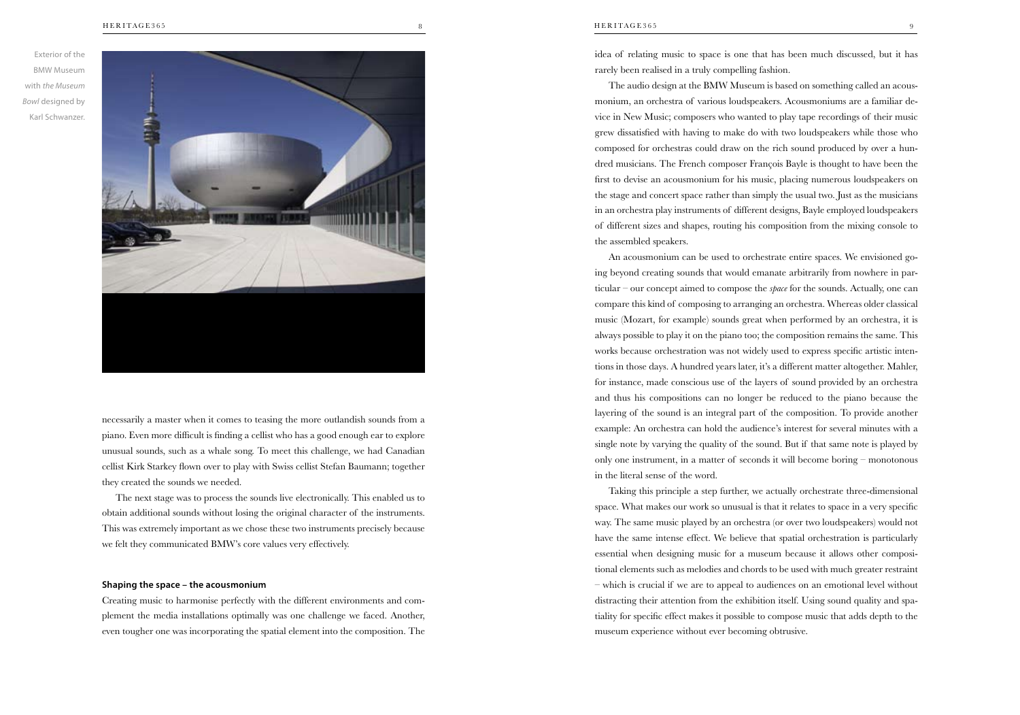

necessarily a master when it comes to teasing the more outlandish sounds from a piano. Even more difficult is finding a cellist who has a good enough ear to explore unusual sounds, such as a whale song. To meet this challenge, we had Canadian cellist Kirk Starkey flown over to play with Swiss cellist Stefan Baumann; together they created the sounds we needed.

The next stage was to process the sounds live electronically. This enabled us to obtain additional sounds without losing the original character of the instruments. This was extremely important as we chose these two instruments precisely because we felt they communicated BMW's core values very effectively.

### **Shaping the space – the acousmonium**

Creating music to harmonise perfectly with the different environments and complement the media installations optimally was one challenge we faced. Another, even tougher one was incorporating the spatial element into the composition. The

idea of relating music to space is one that has been much discussed, but it has rarely been realised in a truly compelling fashion.

The audio design at the BMW Museum is based on something called an acousmonium, an orchestra of various loudspeakers. Acousmoniums are a familiar device in New Music; composers who wanted to play tape recordings of their music grew dissatisfied with having to make do with two loudspeakers while those who composed for orchestras could draw on the rich sound produced by over a hundred musicians. The French composer François Bayle is thought to have been the first to devise an acousmonium for his music, placing numerous loudspeakers on the stage and concert space rather than simply the usual two. Just as the musicians in an orchestra play instruments of different designs, Bayle employed loudspeakers of different sizes and shapes, routing his composition from the mixing console to the assembled speakers.

An acousmonium can be used to orchestrate entire spaces. We envisioned going beyond creating sounds that would emanate arbitrarily from nowhere in particular – our concept aimed to compose the *space* for the sounds. Actually, one can compare this kind of composing to arranging an orchestra. Whereas older classical music (Mozart, for example) sounds great when performed by an orchestra, it is always possible to play it on the piano too; the composition remains the same. This works because orchestration was not widely used to express specific artistic intentions in those days. A hundred years later, it's a different matter altogether. Mahler, for instance, made conscious use of the layers of sound provided by an orchestra and thus his compositions can no longer be reduced to the piano because the layering of the sound is an integral part of the composition. To provide another example: An orchestra can hold the audience's interest for several minutes with a single note by varying the quality of the sound. But if that same note is played by only one instrument, in a matter of seconds it will become boring – monotonous in the literal sense of the word.

Taking this principle a step further, we actually orchestrate three-dimensional space. What makes our work so unusual is that it relates to space in a very specific way. The same music played by an orchestra (or over two loudspeakers) would not have the same intense effect. We believe that spatial orchestration is particularly essential when designing music for a museum because it allows other compositional elements such as melodies and chords to be used with much greater restraint – which is crucial if we are to appeal to audiences on an emotional level without distracting their attention from the exhibition itself. Using sound quality and spatiality for specific effect makes it possible to compose music that adds depth to the museum experience without ever becoming obtrusive.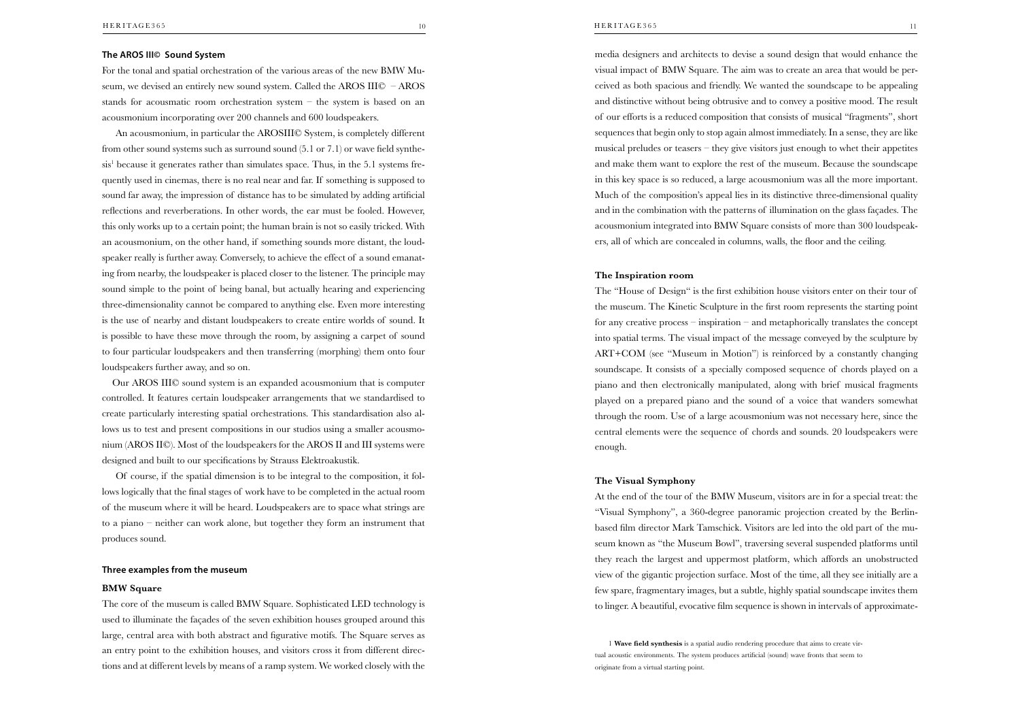## **The AROS III© Sound System**

For the tonal and spatial orchestration of the various areas of the new BMW Museum, we devised an entirely new sound system. Called the AROS III© – AROS stands for acousmatic room orchestration system – the system is based on an acousmonium incorporating over 200 channels and 600 loudspeakers.

An acousmonium, in particular the AROSIII© System, is completely different from other sound systems such as surround sound (5.1 or 7.1) or wave field synthesis<sup>1</sup> because it generates rather than simulates space. Thus, in the 5.1 systems frequently used in cinemas, there is no real near and far. If something is supposed to sound far away, the impression of distance has to be simulated by adding artificial reflections and reverberations. In other words, the ear must be fooled. However, this only works up to a certain point; the human brain is not so easily tricked. With an acousmonium, on the other hand, if something sounds more distant, the loudspeaker really is further away. Conversely, to achieve the effect of a sound emanating from nearby, the loudspeaker is placed closer to the listener. The principle may sound simple to the point of being banal, but actually hearing and experiencing three-dimensionality cannot be compared to anything else. Even more interesting is the use of nearby and distant loudspeakers to create entire worlds of sound. It is possible to have these move through the room, by assigning a carpet of sound to four particular loudspeakers and then transferring (morphing) them onto four loudspeakers further away, and so on.

Our AROS III© sound system is an expanded acousmonium that is computer controlled. It features certain loudspeaker arrangements that we standardised to create particularly interesting spatial orchestrations. This standardisation also allows us to test and present compositions in our studios using a smaller acousmonium (AROS II©). Most of the loudspeakers for the AROS II and III systems were designed and built to our specifications by Strauss Elektroakustik.

Of course, if the spatial dimension is to be integral to the composition, it follows logically that the final stages of work have to be completed in the actual room of the museum where it will be heard. Loudspeakers are to space what strings are to a piano – neither can work alone, but together they form an instrument that produces sound.

#### **Three examples from the museum**

#### **BMW Square**

The core of the museum is called BMW Square. Sophisticated LED technology is used to illuminate the façades of the seven exhibition houses grouped around this large, central area with both abstract and figurative motifs. The Square serves as an entry point to the exhibition houses, and visitors cross it from different directions and at different levels by means of a ramp system. We worked closely with the

media designers and architects to devise a sound design that would enhance the visual impact of BMW Square. The aim was to create an area that would be perceived as both spacious and friendly. We wanted the soundscape to be appealing and distinctive without being obtrusive and to convey a positive mood. The result of our efforts is a reduced composition that consists of musical "fragments", short sequences that begin only to stop again almost immediately. In a sense, they are like musical preludes or teasers – they give visitors just enough to whet their appetites and make them want to explore the rest of the museum. Because the soundscape in this key space is so reduced, a large acousmonium was all the more important. Much of the composition's appeal lies in its distinctive three-dimensional quality and in the combination with the patterns of illumination on the glass façades. The acousmonium integrated into BMW Square consists of more than 300 loudspeakers, all of which are concealed in columns, walls, the floor and the ceiling.

## **The Inspiration room**

The "House of Design" is the first exhibition house visitors enter on their tour of the museum. The Kinetic Sculpture in the first room represents the starting point for any creative process – inspiration – and metaphorically translates the concept into spatial terms. The visual impact of the message conveyed by the sculpture by ART+COM (see "Museum in Motion") is reinforced by a constantly changing soundscape. It consists of a specially composed sequence of chords played on a piano and then electronically manipulated, along with brief musical fragments played on a prepared piano and the sound of a voice that wanders somewhat through the room. Use of a large acousmonium was not necessary here, since the central elements were the sequence of chords and sounds. 20 loudspeakers were enough.

## **The Visual Symphony**

At the end of the tour of the BMW Museum, visitors are in for a special treat: the "Visual Symphony", a 360-degree panoramic projection created by the Berlinbased film director Mark Tamschick. Visitors are led into the old part of the museum known as "the Museum Bowl", traversing several suspended platforms until they reach the largest and uppermost platform, which affords an unobstructed view of the gigantic projection surface. Most of the time, all they see initially are a few spare, fragmentary images, but a subtle, highly spatial soundscape invites them to linger. A beautiful, evocative film sequence is shown in intervals of approximate-

1 **Wave field synthesis** is a spatial audio rendering procedure that aims to create virtual acoustic environments. The system produces artificial (sound) wave fronts that seem to originate from a virtual starting point.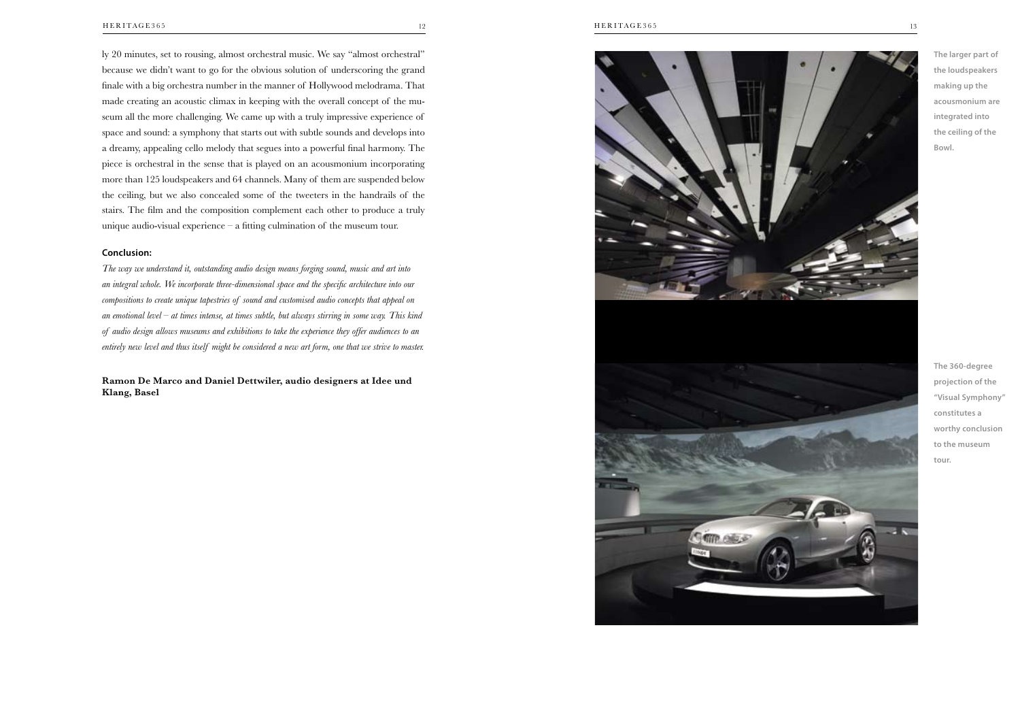ly 20 minutes, set to rousing, almost orchestral music. We say "almost orchestral" because we didn't want to go for the obvious solution of underscoring the grand finale with a big orchestra number in the manner of Hollywood melodrama. That made creating an acoustic climax in keeping with the overall concept of the museum all the more challenging. We came up with a truly impressive experience of space and sound: a symphony that starts out with subtle sounds and develops into a dreamy, appealing cello melody that segues into a powerful final harmony. The piece is orchestral in the sense that is played on an acousmonium incorporating more than 125 loudspeakers and 64 channels. Many of them are suspended below the ceiling, but we also concealed some of the tweeters in the handrails of the stairs. The film and the composition complement each other to produce a truly unique audio-visual experience – a fitting culmination of the museum tour.

## **Conclusion:**

*The way we understand it, outstanding audio design means forging sound, music and art into an integral whole. We incorporate three-dimensional space and the specific architecture into our compositions to create unique tapestries of sound and customised audio concepts that appeal on an emotional level – at times intense, at times subtle, but always stirring in some way. This kind of audio design allows museums and exhibitions to take the experience they offer audiences to an entirely new level and thus itself might be considered a new art form, one that we strive to master.* 

**Ramon De Marco and Daniel Dettwiler, audio designers at Idee und Klang, Basel**





**The 360-degree projection of the "Visual Symphony" constitutes a worthy conclusion to the museum tour.**